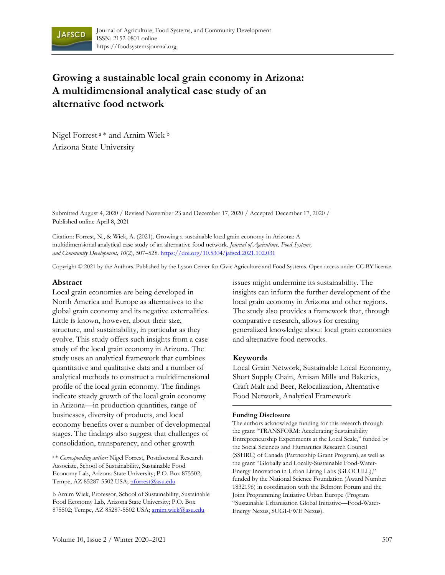

# **Growing a sustainable local grain economy in Arizona: A multidimensional analytical case study of an alternative food network**

Nigel Forrest <sup>a</sup>\* and Arnim Wiek <sup>b</sup> Arizona State University

Submitted August 4, 2020 / Revised November 23 and December 17, 2020 / Accepted December 17, 2020 / Published online April 8, 2021

Citation: Forrest, N., & Wiek, A. (2021). Growing a sustainable local grain economy in Arizona: A multidimensional analytical case study of an alternative food network. *Journal of Agriculture, Food Systems, and Community Development, 10*(2), 507–528. https://doi.org/10.5304/jafscd.2021.102.031

Copyright © 2021 by the Authors. Published by the Lyson Center for Civic Agriculture and Food Systems. Open access under CC-BY license.

#### **Abstract**

Local grain economies are being developed in North America and Europe as alternatives to the global grain economy and its negative externalities. Little is known, however, about their size, structure, and sustainability, in particular as they evolve. This study offers such insights from a case study of the local grain economy in Arizona. The study uses an analytical framework that combines quantitative and qualitative data and a number of analytical methods to construct a multidimensional profile of the local grain economy. The findings indicate steady growth of the local grain economy in Arizona—in production quantities, range of businesses, diversity of products, and local economy benefits over a number of developmental stages. The findings also suggest that challenges of consolidation, transparency, and other growth

<sup>a</sup>\* *Corresponding author:* Nigel Forrest, Postdoctoral Research Associate, School of Sustainability, Sustainable Food Economy Lab, Arizona State University; P.O. Box 875502; Tempe, AZ 85287-5502 USA; nforrest@asu.edu

b Arnim Wiek, Professor, School of Sustainability, Sustainable Food Economy Lab, Arizona State University; P.O. Box 875502; Tempe, AZ 85287-5502 USA; arnim.wiek@asu.edu

issues might undermine its sustainability. The insights can inform the further development of the local grain economy in Arizona and other regions. The study also provides a framework that, through comparative research, allows for creating generalized knowledge about local grain economies and alternative food networks.

### **Keywords**

Local Grain Network, Sustainable Local Economy, Short Supply Chain, Artisan Mills and Bakeries, Craft Malt and Beer, Relocalization, Alternative Food Network, Analytical Framework

#### **Funding Disclosure**

The authors acknowledge funding for this research through the grant "TRANSFORM: Accelerating Sustainability Entrepreneurship Experiments at the Local Scale," funded by the Social Sciences and Humanities Research Council (SSHRC) of Canada (Partnership Grant Program), as well as the grant "Globally and Locally-Sustainable Food-Water-Energy Innovation in Urban Living Labs (GLOCULL)," funded by the National Science Foundation (Award Number 1832196) in coordination with the Belmont Forum and the Joint Programming Initiative Urban Europe (Program "Sustainable Urbanisation Global Initiative—Food-Water-Energy Nexus, SUGI-FWE Nexus).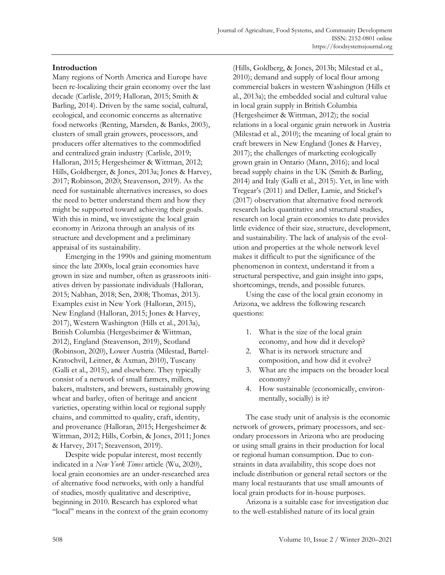## **Introduction**

Many regions of North America and Europe have been re-localizing their grain economy over the last decade (Carlisle, 2019; Halloran, 2015; Smith & Barling, 2014). Driven by the same social, cultural, ecological, and economic concerns as alternative food networks (Renting, Marsden, & Banks, 2003), clusters of small grain growers, processors, and producers offer alternatives to the commodified and centralized grain industry (Carlisle, 2019; Halloran, 2015; Hergesheimer & Wittman, 2012; Hills, Goldberger, & Jones, 2013a; Jones & Harvey, 2017; Robinson, 2020; Steavenson, 2019). As the need for sustainable alternatives increases, so does the need to better understand them and how they might be supported toward achieving their goals. With this in mind, we investigate the local grain economy in Arizona through an analysis of its structure and development and a preliminary appraisal of its sustainability.

Emerging in the 1990s and gaining momentum since the late 2000s, local grain economies have grown in size and number, often as grassroots initiatives driven by passionate individuals (Halloran, 2015; Nabhan, 2018; Sen, 2008; Thomas, 2013). Examples exist in New York (Halloran, 2015), New England (Halloran, 2015; Jones & Harvey, 2017), Western Washington (Hills et al., 2013a), British Columbia (Hergesheimer & Wittman, 2012), England (Steavenson, 2019), Scotland (Robinson, 2020), Lower Austria (Milestad, Bartel-Kratochvil, Leitner, & Axman, 2010), Tuscany (Galli et al., 2015), and elsewhere. They typically consist of a network of small farmers, millers, bakers, maltsters, and brewers, sustainably growing wheat and barley, often of heritage and ancient varieties, operating within local or regional supply chains, and committed to quality, craft, identity, and provenance (Halloran, 2015; Hergesheimer & Wittman, 2012; Hills, Corbin, & Jones, 2011; Jones & Harvey, 2017; Steavenson, 2019).

Despite wide popular interest, most recently indicated in a *New York Times* article (Wu, 2020), local grain economies are an under-researched area of alternative food networks, with only a handful of studies, mostly qualitative and descriptive, beginning in 2010. Research has explored what "local" means in the context of the grain economy

(Hills, Goldberg, & Jones, 2013b; Milestad et al., 2010); demand and supply of local flour among commercial bakers in western Washington (Hills et al., 2013a); the embedded social and cultural value in local grain supply in British Columbia (Hergesheimer & Wittman, 2012); the social relations in a local organic grain network in Austria (Milestad et al., 2010); the meaning of local grain to craft brewers in New England (Jones & Harvey, 2017); the challenges of marketing ecologically grown grain in Ontario (Mann, 2016); and local bread supply chains in the UK (Smith & Barling, 2014) and Italy (Galli et al., 2015). Yet, in line with Tregear's (2011) and Deller, Lamie, and Stickel's (2017) observation that alternative food network research lacks quantitative and structural studies, research on local grain economies to date provides little evidence of their size, structure, development, and sustainability. The lack of analysis of the evolution and properties at the whole network level makes it difficult to put the significance of the phenomenon in context, understand it from a structural perspective, and gain insight into gaps, shortcomings, trends, and possible futures.

Using the case of the local grain economy in Arizona, we address the following research questions:

- 1. What is the size of the local grain economy, and how did it develop?
- 2. What is its network structure and composition, and how did it evolve?
- 3. What are the impacts on the broader local economy?
- 4. How sustainable (economically, environmentally, socially) is it?

The case study unit of analysis is the economic network of growers, primary processors, and secondary processors in Arizona who are producing or using small grains in their production for local or regional human consumption. Due to constraints in data availability, this scope does not include distribution or general retail sectors or the many local restaurants that use small amounts of local grain products for in-house purposes.

Arizona is a suitable case for investigation due to the well-established nature of its local grain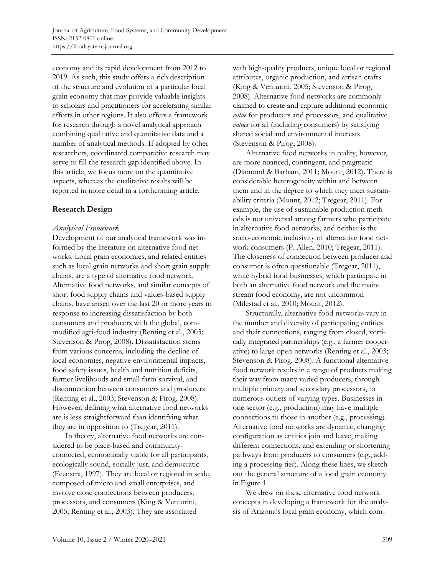economy and its rapid development from 2012 to 2019. As such, this study offers a rich description of the structure and evolution of a particular local grain economy that may provide valuable insights to scholars and practitioners for accelerating similar efforts in other regions. It also offers a framework for research through a novel analytical approach combining qualitative and quantitative data and a number of analytical methods. If adopted by other researchers, coordinated comparative research may serve to fill the research gap identified above. In this article, we focus more on the quantitative aspects, whereas the qualitative results will be reported in more detail in a forthcoming article.

## **Research Design**

## *Analytical Framework*

Development of our analytical framework was informed by the literature on alternative food networks. Local grain economies, and related entities such as local grain networks and short grain supply chains, are a type of alternative food network. Alternative food networks, and similar concepts of short food supply chains and values-based supply chains, have arisen over the last 20 or more years in response to increasing dissatisfaction by both consumers and producers with the global, commodified agri-food industry (Renting et al., 2003; Stevenson & Pirog, 2008). Dissatisfaction stems from various concerns, including the decline of local economies, negative environmental impacts, food safety issues, health and nutrition deficits, farmer livelihoods and small farm survival, and disconnection between consumers and producers (Renting et al., 2003; Stevenson & Pirog, 2008). However, defining what alternative food networks are is less straightforward than identifying what they are in opposition to (Tregear, 2011).

In theory, alternative food networks are considered to be place-based and communityconnected, economically viable for all participants, ecologically sound, socially just, and democratic (Feenstra, 1997). They are local or regional in scale, composed of micro and small enterprises, and involve close connections between producers, processors, and consumers (King & Venturini, 2005; Renting et al., 2003). They are associated

with high-quality products, unique local or regional attributes, organic production, and artisan crafts (King & Venturini, 2005; Stevenson & Pirog, 2008). Alternative food networks are commonly claimed to create and capture additional economic *value* for producers and processors, and qualitative *values* for all (including consumers) by satisfying shared social and environmental interests (Stevenson & Pirog, 2008).

Alternative food networks in reality, however, are more nuanced, contingent, and pragmatic (Diamond & Barham, 2011; Mount, 2012). There is considerable heterogeneity within and between them and in the degree to which they meet sustainability criteria (Mount, 2012; Tregear, 2011). For example, the use of sustainable production methods is not universal among farmers who participate in alternative food networks, and neither is the socio-economic inclusivity of alternative food network consumers (P. Allen, 2010; Tregear, 2011). The closeness of connection between producer and consumer is often questionable (Tregear, 2011), while hybrid food businesses, which participate in both an alternative food network and the mainstream food economy, are not uncommon (Milestad et al., 2010; Mount, 2012).

Structurally, alternative food networks vary in the number and diversity of participating entities and their connections, ranging from closed, vertically integrated partnerships (e.g., a farmer cooperative) to large open networks (Renting et al., 2003; Stevenson & Pirog, 2008). A functional alternative food network results in a range of products making their way from many varied producers, through multiple primary and secondary processors, to numerous outlets of varying types. Businesses in one sector (e.g., production) may have multiple connections to those in another (e.g., processing). Alternative food networks are dynamic, changing configuration as entities join and leave, making different connections, and extending or shortening pathways from producers to consumers (e.g., adding a processing tier). Along these lines, we sketch out the general structure of a local grain economy in Figure 1.

We drew on these alternative food network concepts in developing a framework for the analysis of Arizona's local grain economy, which com-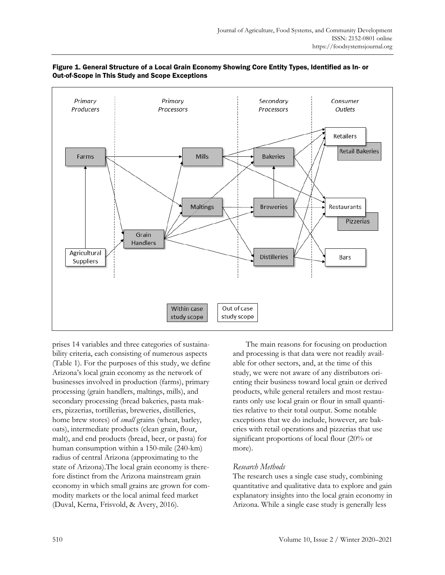

### Figure 1. General Structure of a Local Grain Economy Showing Core Entity Types, Identified as In- or Out-of-Scope in This Study and Scope Exceptions

prises 14 variables and three categories of sustainability criteria, each consisting of numerous aspects (Table 1). For the purposes of this study, we define Arizona's local grain economy as the network of businesses involved in production (farms), primary processing (grain handlers, maltings, mills), and secondary processing (bread bakeries, pasta makers, pizzerias, tortillerias, breweries, distilleries, home brew stores) of *small* grains (wheat, barley, oats), intermediate products (clean grain, flour, malt), and end products (bread, beer, or pasta) for human consumption within a 150-mile (240-km) radius of central Arizona (approximating to the state of Arizona).The local grain economy is therefore distinct from the Arizona mainstream grain economy in which small grains are grown for commodity markets or the local animal feed market (Duval, Kerna, Frisvold, & Avery, 2016).

The main reasons for focusing on production and processing is that data were not readily available for other sectors, and, at the time of this study, we were not aware of any distributors orienting their business toward local grain or derived products, while general retailers and most restaurants only use local grain or flour in small quantities relative to their total output. Some notable exceptions that we do include, however, are bakeries with retail operations and pizzerias that use significant proportions of local flour (20% or more).

### *Research Methods*

The research uses a single case study, combining quantitative and qualitative data to explore and gain explanatory insights into the local grain economy in Arizona. While a single case study is generally less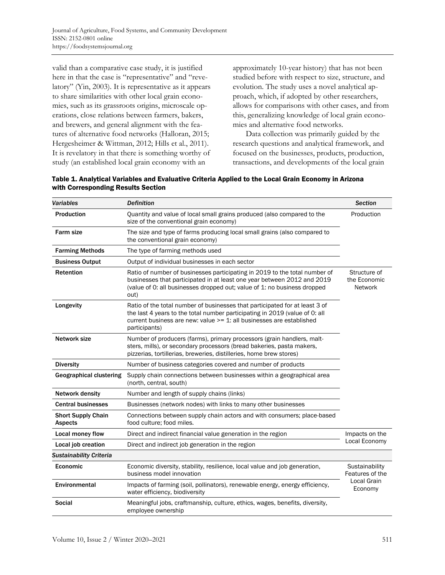valid than a comparative case study, it is justified here in that the case is "representative" and "revelatory" (Yin, 2003). It is representative as it appears to share similarities with other local grain economies, such as its grassroots origins, microscale operations, close relations between farmers, bakers, and brewers, and general alignment with the features of alternative food networks (Halloran, 2015; Hergesheimer & Wittman, 2012; Hills et al., 2011). It is revelatory in that there is something worthy of study (an established local grain economy with an

approximately 10-year history) that has not been studied before with respect to size, structure, and evolution. The study uses a novel analytical approach, which, if adopted by other researchers, allows for comparisons with other cases, and from this, generalizing knowledge of local grain economies and alternative food networks.

Data collection was primarily guided by the research questions and analytical framework, and focused on the businesses, products, production, transactions, and developments of the local grain

Table 1. Analytical Variables and Evaluative Criteria Applied to the Local Grain Economy in Arizona with Corresponding Results Section

| <b>Variables</b>                            | <b>Definition</b>                                                                                                                                                                                                                                      |                        |  |  |
|---------------------------------------------|--------------------------------------------------------------------------------------------------------------------------------------------------------------------------------------------------------------------------------------------------------|------------------------|--|--|
| Production                                  | Quantity and value of local small grains produced (also compared to the<br>size of the conventional grain economy)                                                                                                                                     | Production             |  |  |
| <b>Farm size</b>                            | The size and type of farms producing local small grains (also compared to<br>the conventional grain economy)                                                                                                                                           |                        |  |  |
| <b>Farming Methods</b>                      | The type of farming methods used                                                                                                                                                                                                                       |                        |  |  |
| <b>Business Output</b>                      | Output of individual businesses in each sector                                                                                                                                                                                                         |                        |  |  |
| <b>Retention</b>                            | Ratio of number of businesses participating in 2019 to the total number of<br>businesses that participated in at least one year between 2012 and 2019<br>(value of 0: all businesses dropped out; value of 1: no business dropped<br>out)              |                        |  |  |
| Longevity                                   | Ratio of the total number of businesses that participated for at least 3 of<br>the last 4 years to the total number participating in 2019 (value of 0: all<br>current business are new: value $>= 1$ : all businesses are established<br>participants) |                        |  |  |
| Network size                                | Number of producers (farms), primary processors (grain handlers, malt-<br>sters, mills), or secondary processors (bread bakeries, pasta makers,<br>pizzerias, tortillerias, breweries, distilleries, home brew stores)                                 |                        |  |  |
| <b>Diversity</b>                            | Number of business categories covered and number of products                                                                                                                                                                                           |                        |  |  |
| <b>Geographical clustering</b>              | Supply chain connections between businesses within a geographical area<br>(north, central, south)                                                                                                                                                      |                        |  |  |
| <b>Network density</b>                      | Number and length of supply chains (links)                                                                                                                                                                                                             |                        |  |  |
| <b>Central businesses</b>                   | Businesses (network nodes) with links to many other businesses                                                                                                                                                                                         |                        |  |  |
| <b>Short Supply Chain</b><br><b>Aspects</b> | Connections between supply chain actors and with consumers; place-based<br>food culture; food miles.                                                                                                                                                   |                        |  |  |
| Local money flow                            | Direct and indirect financial value generation in the region                                                                                                                                                                                           | Impacts on the         |  |  |
| Local job creation                          | Direct and indirect job generation in the region                                                                                                                                                                                                       | Local Economy          |  |  |
| <b>Sustainability Criteria</b>              |                                                                                                                                                                                                                                                        |                        |  |  |
| Economic                                    | Economic diversity, stability, resilience, local value and job generation,<br>business model innovation                                                                                                                                                |                        |  |  |
| Environmental                               | Impacts of farming (soil, pollinators), renewable energy, energy efficiency,<br>water efficiency, biodiversity                                                                                                                                         | Local Grain<br>Economy |  |  |
| Social                                      | Meaningful jobs, craftmanship, culture, ethics, wages, benefits, diversity,<br>employee ownership                                                                                                                                                      |                        |  |  |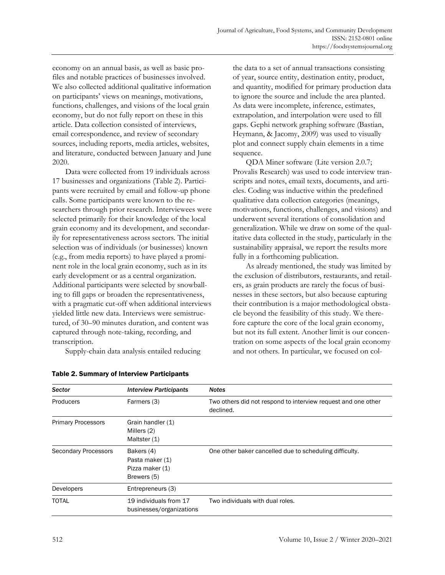economy on an annual basis, as well as basic profiles and notable practices of businesses involved. We also collected additional qualitative information on participants' views on meanings, motivations, functions, challenges, and visions of the local grain economy, but do not fully report on these in this article. Data collection consisted of interviews, email correspondence, and review of secondary sources, including reports, media articles, websites, and literature, conducted between January and June 2020.

Data were collected from 19 individuals across 17 businesses and organizations (Table 2). Participants were recruited by email and follow-up phone calls. Some participants were known to the researchers through prior research. Interviewees were selected primarily for their knowledge of the local grain economy and its development, and secondarily for representativeness across sectors. The initial selection was of individuals (or businesses) known (e.g., from media reports) to have played a prominent role in the local grain economy, such as in its early development or as a central organization. Additional participants were selected by snowballing to fill gaps or broaden the representativeness, with a pragmatic cut-off when additional interviews yielded little new data. Interviews were semistructured, of 30–90 minutes duration, and content was captured through note-taking, recording, and transcription.

Supply-chain data analysis entailed reducing

the data to a set of annual transactions consisting of year, source entity, destination entity, product, and quantity, modified for primary production data to ignore the source and include the area planted. As data were incomplete, inference, estimates, extrapolation, and interpolation were used to fill gaps. Gephi network graphing software (Bastian, Heymann, & Jacomy, 2009) was used to visually plot and connect supply chain elements in a time sequence.

QDA Miner software (Lite version 2.0.7; Provalis Research) was used to code interview transcripts and notes, email texts, documents, and articles. Coding was inductive within the predefined qualitative data collection categories (meanings, motivations, functions, challenges, and visions) and underwent several iterations of consolidation and generalization. While we draw on some of the qualitative data collected in the study, particularly in the sustainability appraisal, we report the results more fully in a forthcoming publication.

As already mentioned, the study was limited by the exclusion of distributors, restaurants, and retailers, as grain products are rarely the focus of businesses in these sectors, but also because capturing their contribution is a major methodological obstacle beyond the feasibility of this study. We therefore capture the core of the local grain economy, but not its full extent. Another limit is our concentration on some aspects of the local grain economy and not others. In particular, we focused on col-

| <b>Sector</b>               | <b>Interview Participants</b>                                   | <b>Notes</b>                                                               |
|-----------------------------|-----------------------------------------------------------------|----------------------------------------------------------------------------|
| Producers                   | Farmers (3)                                                     | Two others did not respond to interview request and one other<br>declined. |
| <b>Primary Processors</b>   | Grain handler (1)<br>Millers (2)<br>Maltster (1)                |                                                                            |
| <b>Secondary Processors</b> | Bakers (4)<br>Pasta maker (1)<br>Pizza maker (1)<br>Brewers (5) | One other baker cancelled due to scheduling difficulty.                    |
| Developers                  | Entrepreneurs (3)                                               |                                                                            |
| <b>TOTAL</b>                | 19 individuals from 17<br>businesses/organizations              | Two individuals with dual roles.                                           |

Table 2. Summary of Interview Participants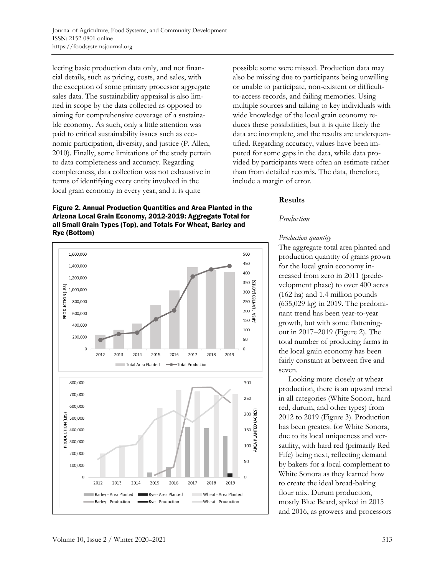lecting basic production data only, and not financial details, such as pricing, costs, and sales, with the exception of some primary processor aggregate sales data. The sustainability appraisal is also limited in scope by the data collected as opposed to aiming for comprehensive coverage of a sustainable economy. As such, only a little attention was paid to critical sustainability issues such as economic participation, diversity, and justice (P. Allen, 2010). Finally, some limitations of the study pertain to data completeness and accuracy. Regarding completeness, data collection was not exhaustive in terms of identifying every entity involved in the local grain economy in every year, and it is quite

1.600.000

1.400.000

1,200,000

1,000,000 800,000 600,000 400,000

200,000

800,000

700,000

600,000

500.000 400.000 300,000 200,000

100,000

 $\mathbf 0$ 

2012

2013

Barley - Production

RODUCTION (LBS)

 $\overline{0}$ 

2012

2013

PRODUCTION (LBS)

possible some were missed. Production data may also be missing due to participants being unwilling or unable to participate, non-existent or difficultto-access records, and failing memories. Using multiple sources and talking to key individuals with wide knowledge of the local grain economy reduces these possibilities, but it is quite likely the data are incomplete, and the results are underquantified. Regarding accuracy, values have been imputed for some gaps in the data, while data provided by participants were often an estimate rather than from detailed records. The data, therefore, include a margin of error.

### **Results**

#### *Production*

### *Production quantity*

The aggregate total area planted and production quantity of grains grown for the local grain economy increased from zero in 2011 (predevelopment phase) to over 400 acres (162 ha) and 1.4 million pounds (635,029 kg) in 2019. The predominant trend has been year-to-year growth, but with some flatteningout in 2017–2019 (Figure 2). The total number of producing farms in the local grain economy has been fairly constant at between five and seven.

Looking more closely at wheat production, there is an upward trend in all categories (White Sonora, hard red, durum, and other types) from 2012 to 2019 (Figure 3). Production has been greatest for White Sonora, due to its local uniqueness and versatility, with hard red (primarily Red Fife) being next, reflecting demand by bakers for a local complement to White Sonora as they learned how to create the ideal bread-baking flour mix. Durum production, mostly Blue Beard, spiked in 2015 and 2016, as growers and processors



350<br>300<br>300<br>300<br>250<br>200<br>200<br>400<br>400 100 50  $\mathbf 0$ 2018 2014 2015 2016 2017 2019 **Total Area Planted** Total Production 300 250 20<br>
00<br>
150<br>
150<br>
4REA PLANTED (ACRES) 50  $\Omega$ 2014 2015 2016 2017 2018 2019 Barley - Area Planted f. Rye - Area Planted Wheat - Area Planted Wheat - Production Rye - Production

500 450

400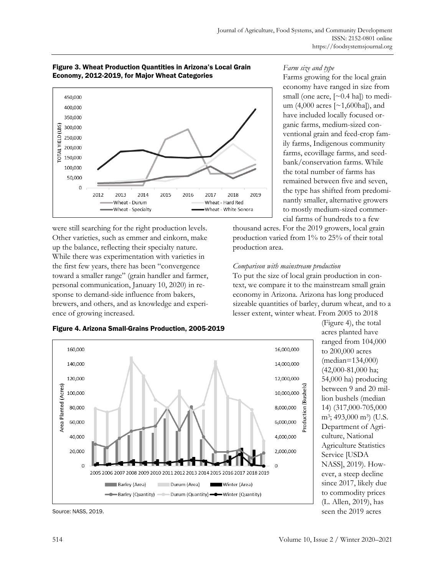



were still searching for the right production levels. Other varieties, such as emmer and einkorn, make up the balance, reflecting their specialty nature. While there was experimentation with varieties in the first few years, there has been "convergence toward a smaller range" (grain handler and farmer, personal communication, January 10, 2020) in response to demand-side influence from bakers, brewers, and others, and as knowledge and experience of growing increased.

## *Farm size and type*

Farms growing for the local grain economy have ranged in size from small (one acre,  $[\sim 0.4$  hal) to medium (4,000 acres [~1,600ha]), and have included locally focused organic farms, medium-sized conventional grain and feed-crop family farms, Indigenous community farms, ecovillage farms, and seedbank/conservation farms. While the total number of farms has remained between five and seven, the type has shifted from predominantly smaller, alternative growers to mostly medium-sized commercial farms of hundreds to a few

thousand acres. For the 2019 growers, local grain production varied from 1% to 25% of their total production area.

## *Comparison with mainstream production*

To put the size of local grain production in context, we compare it to the mainstream small grain economy in Arizona. Arizona has long produced sizeable quantities of barley, durum wheat, and to a lesser extent, winter wheat. From 2005 to 2018

Production (Bushels



(Figure 4), the total acres planted have ranged from 104,000 to 200,000 acres (median=134,000) (42,000-81,000 ha; 54,000 ha) producing between 9 and 20 million bushels (median 14) (317,000-705,000 m<sup>3</sup>; 493,000 m<sup>3</sup>) (U.S. Department of Agriculture, National Agriculture Statistics Service [USDA NASS], 2019). However, a steep decline since 2017, likely due to commodity prices (L. Allen, 2019), has seen the 2019 acres

Source: NASS, 2019.

Figure 4. Arizona Small-Grains Production, 2005-2019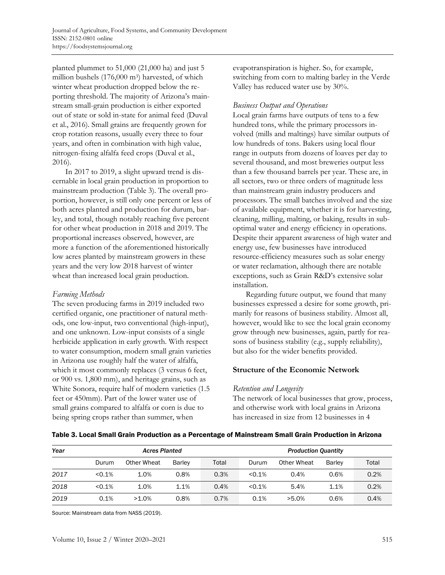planted plummet to 51,000 (21,000 ha) and just 5 million bushels (176,000 m<sup>3</sup>) harvested, of which winter wheat production dropped below the reporting threshold. The majority of Arizona's mainstream small-grain production is either exported out of state or sold in-state for animal feed (Duval et al., 2016). Small grains are frequently grown for crop rotation reasons, usually every three to four years, and often in combination with high value, nitrogen-fixing alfalfa feed crops (Duval et al., 2016).

In 2017 to 2019, a slight upward trend is discernable in local grain production in proportion to mainstream production (Table 3). The overall proportion, however, is still only one percent or less of both acres planted and production for durum, barley, and total, though notably reaching five percent for other wheat production in 2018 and 2019. The proportional increases observed, however, are more a function of the aforementioned historically low acres planted by mainstream growers in these years and the very low 2018 harvest of winter wheat than increased local grain production.

### *Farming Methods*

The seven producing farms in 2019 included two certified organic, one practitioner of natural methods, one low-input, two conventional (high-input), and one unknown. Low-input consists of a single herbicide application in early growth. With respect to water consumption, modern small grain varieties in Arizona use roughly half the water of alfalfa, which it most commonly replaces (3 versus 6 feet, or 900 vs. 1,800 mm), and heritage grains, such as White Sonora, require half of modern varieties (1.5 feet or 450mm). Part of the lower water use of small grains compared to alfalfa or corn is due to being spring crops rather than summer, when

evapotranspiration is higher. So, for example, switching from corn to malting barley in the Verde Valley has reduced water use by 30%.

## *Business Output and Operations*

Local grain farms have outputs of tens to a few hundred tons, while the primary processors involved (mills and maltings) have similar outputs of low hundreds of tons. Bakers using local flour range in outputs from dozens of loaves per day to several thousand, and most breweries output less than a few thousand barrels per year. These are, in all sectors, two or three orders of magnitude less than mainstream grain industry producers and processors. The small batches involved and the size of available equipment, whether it is for harvesting, cleaning, milling, malting, or baking, results in suboptimal water and energy efficiency in operations. Despite their apparent awareness of high water and energy use, few businesses have introduced resource-efficiency measures such as solar energy or water reclamation, although there are notable exceptions, such as Grain R&D's extensive solar installation.

Regarding future output, we found that many businesses expressed a desire for some growth, primarily for reasons of business stability. Almost all, however, would like to see the local grain economy grow through new businesses, again, partly for reasons of business stability (e.g., supply reliability), but also for the wider benefits provided.

### **Structure of the Economic Network**

### *Retention and Longevity*

The network of local businesses that grow, process, and otherwise work with local grains in Arizona has increased in size from 12 businesses in 4

| Year |        | <b>Acres Planted</b> |               |       | <b>Production Quantity</b> |             |               |       |
|------|--------|----------------------|---------------|-------|----------------------------|-------------|---------------|-------|
|      | Durum  | Other Wheat          | <b>Barley</b> | Total | Durum                      | Other Wheat | <b>Barley</b> | Total |
| 2017 | < 0.1% | 1.0%                 | 0.8%          | 0.3%  | < 0.1%                     | 0.4%        | 0.6%          | 0.2%  |
| 2018 | < 0.1% | 1.0%                 | 1.1%          | 0.4%  | < 0.1%                     | 5.4%        | 1.1%          | 0.2%  |
| 2019 | 0.1%   | $>1.0\%$             | 0.8%          | 0.7%  | 0.1%                       | $>5.0\%$    | 0.6%          | 0.4%  |

### Table 3. Local Small Grain Production as a Percentage of Mainstream Small Grain Production in Arizona

Source: Mainstream data from NASS (2019).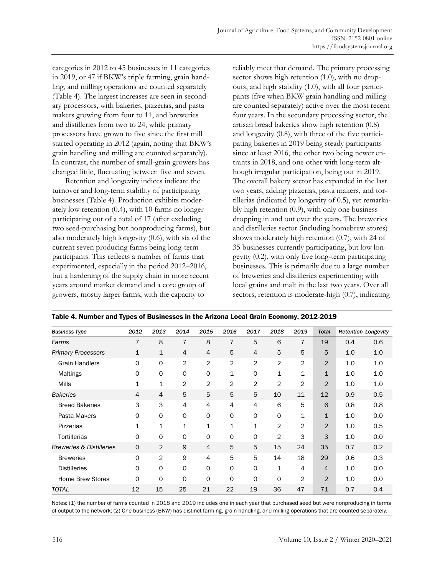categories in 2012 to 45 businesses in 11 categories in 2019, or 47 if BKW's triple farming, grain handling, and milling operations are counted separately (Table 4). The largest increases are seen in secondary processors, with bakeries, pizzerias, and pasta makers growing from four to 11, and breweries and distilleries from two to 24, while primary processors have grown to five since the first mill started operating in 2012 (again, noting that BKW's grain handling and milling are counted separately). In contrast, the number of small-grain growers has changed little, fluctuating between five and seven.

Retention and longevity indices indicate the turnover and long-term stability of participating businesses (Table 4). Production exhibits moderately low retention (0.4), with 10 farms no longer participating out of a total of 17 (after excluding two seed-purchasing but nonproducing farms), but also moderately high longevity (0.6), with six of the current seven producing farms being long-term participants. This reflects a number of farms that experimented, especially in the period 2012–2016, but a hardening of the supply chain in more recent years around market demand and a core group of growers, mostly larger farms, with the capacity to

reliably meet that demand. The primary processing sector shows high retention (1.0), with no dropouts, and high stability (1.0), with all four participants (five when BKW grain handling and milling are counted separately) active over the most recent four years. In the secondary processing sector, the artisan bread bakeries show high retention (0.8) and longevity (0.8), with three of the five participating bakeries in 2019 being steady participants since at least 2016, the other two being newer entrants in 2018, and one other with long-term although irregular participation, being out in 2019. The overall bakery sector has expanded in the last two years, adding pizzerias, pasta makers, and tortillerias (indicated by longevity of 0.5), yet remarkably high retention (0.9), with only one business dropping in and out over the years. The breweries and distilleries sector (including homebrew stores) shows moderately high retention (0.7), with 24 of 35 businesses currently participating, but low longevity (0.2), with only five long-term participating businesses. This is primarily due to a large number of breweries and distilleries experimenting with local grains and malt in the last two years. Over all sectors, retention is moderate-high (0.7), indicating

| <b>Business Type</b>                | 2012        | 2013           | 2014           | 2015           | 2016           | 2017           | 2018           | 2019           | <b>Total</b>   |     | <b>Retention Longevity</b> |
|-------------------------------------|-------------|----------------|----------------|----------------|----------------|----------------|----------------|----------------|----------------|-----|----------------------------|
| Farms                               | 7           | 8              | 7              | 8              | 7              | 5              | 6              | $\overline{7}$ | 19             | 0.4 | 0.6                        |
| <b>Primary Processors</b>           | $\mathbf 1$ | 1              | 4              | $\overline{4}$ | 5              | $\overline{4}$ | 5              | 5              | 5              | 1.0 | 1.0                        |
| <b>Grain Handlers</b>               | $\Omega$    | 0              | 2              | $\overline{2}$ | $\overline{2}$ | 2              | $\overline{c}$ | 2              | 2              | 1.0 | 1.0                        |
| Maltings                            | 0           | 0              | 0              | $\circ$        | 1              | 0              | $\mathbf{1}$   | 1              | $\mathbf 1$    | 1.0 | 1.0                        |
| <b>Mills</b>                        | 1           | 1              | 2              | $\overline{2}$ | 2              | 2              | $\overline{2}$ | 2              | $\overline{2}$ | 1.0 | 1.0                        |
| <b>Bakeries</b>                     | 4           | 4              | 5              | 5              | 5              | 5              | 10             | 11             | 12             | 0.9 | 0.5                        |
| <b>Bread Bakeries</b>               | 3           | 3              | $\overline{4}$ | $\overline{4}$ | 4              | $\overline{4}$ | 6              | 5              | 6              | 0.8 | 0.8                        |
| Pasta Makers                        | O           | O              | $\Omega$       | 0              | $\Omega$       | 0              | 0              | 1              | $\mathbf{1}$   | 1.0 | 0.0                        |
| <b>Pizzerias</b>                    | 1           | 1              | 1              | 1              | 1              | $\mathbf 1$    | $\overline{c}$ | $\overline{2}$ | 2              | 1.0 | 0.5                        |
| <b>Tortillerias</b>                 | $\Omega$    | 0              | 0              | $\circ$        | $\Omega$       | 0              | 2              | 3              | 3              | 1.0 | 0.0                        |
| <b>Breweries &amp; Distilleries</b> | $\mathbf 0$ | 2              | 9              | $\overline{4}$ | 5              | 5              | 15             | 24             | 35             | 0.7 | 0.2                        |
| <b>Breweries</b>                    | $\Omega$    | $\overline{2}$ | 9              | 4              | 5              | 5              | 14             | 18             | 29             | 0.6 | 0.3                        |
| <b>Distilleries</b>                 | O           | 0              | 0              | $\circ$        | $\Omega$       | 0              | $\mathbf 1$    | 4              | 4              | 1.0 | 0.0                        |
| <b>Home Brew Stores</b>             | $\Omega$    | 0              | 0              | O              | $\Omega$       | O              | 0              | $\overline{2}$ | $\overline{2}$ | 1.0 | 0.0                        |
| TOTAL                               | 12          | 15             | 25             | 21             | 22             | 19             | 36             | 47             | 71             | 0.7 | 0.4                        |

Table 4. Number and Types of Businesses in the Arizona Local Grain Economy, 2012-2019

Notes: (1) the number of farms counted in 2018 and 2019 includes one in each year that purchased seed but were nonproducing in terms of output to the network; (2) One business (BKW) has distinct farming, grain handling, and milling operations that are counted separately.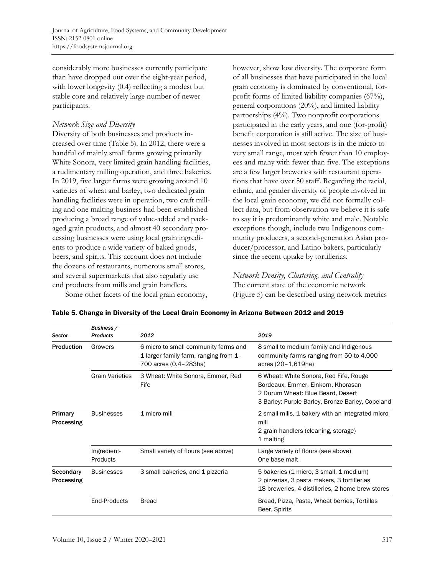considerably more businesses currently participate than have dropped out over the eight-year period, with lower longevity (0.4) reflecting a modest but stable core and relatively large number of newer participants.

### *Network Size and Diversity*

Diversity of both businesses and products increased over time (Table 5). In 2012, there were a handful of mainly small farms growing primarily White Sonora, very limited grain handling facilities, a rudimentary milling operation, and three bakeries. In 2019, five larger farms were growing around 10 varieties of wheat and barley, two dedicated grain handling facilities were in operation, two craft milling and one malting business had been established producing a broad range of value-added and packaged grain products, and almost 40 secondary processing businesses were using local grain ingredients to produce a wide variety of baked goods, beers, and spirits. This account does not include the dozens of restaurants, numerous small stores, and several supermarkets that also regularly use end products from mills and grain handlers.

Some other facets of the local grain economy,

however, show low diversity. The corporate form of all businesses that have participated in the local grain economy is dominated by conventional, forprofit forms of limited liability companies (67%), general corporations (20%), and limited liability partnerships (4%). Two nonprofit corporations participated in the early years, and one (for-profit) benefit corporation is still active. The size of businesses involved in most sectors is in the micro to very small range, most with fewer than 10 employees and many with fewer than five. The exceptions are a few larger breweries with restaurant operations that have over 50 staff. Regarding the racial, ethnic, and gender diversity of people involved in the local grain economy, we did not formally collect data, but from observation we believe it is safe to say it is predominantly white and male. Notable exceptions though, include two Indigenous community producers, a second-generation Asian producer/processor, and Latino bakers, particularly since the recent uptake by tortillerias.

## *Network Density, Clustering, and Centrality*

The current state of the economic network (Figure 5) can be described using network metrics

| Sector                  | Business /<br><b>Products</b> | 2012                                                                                                   | 2019                                                                                                                                                                  |
|-------------------------|-------------------------------|--------------------------------------------------------------------------------------------------------|-----------------------------------------------------------------------------------------------------------------------------------------------------------------------|
| <b>Production</b>       | Growers                       | 6 micro to small community farms and<br>1 larger family farm, ranging from 1-<br>700 acres (0.4-283ha) | 8 small to medium family and Indigenous<br>community farms ranging from 50 to 4,000<br>acres (20-1,619ha)                                                             |
|                         | <b>Grain Varieties</b>        | 3 Wheat: White Sonora, Emmer, Red<br>Fife                                                              | 6 Wheat: White Sonora, Red Fife, Rouge<br>Bordeaux, Emmer, Einkorn, Khorasan<br>2 Durum Wheat: Blue Beard, Desert<br>3 Barley: Purple Barley, Bronze Barley, Copeland |
| Primary<br>Processing   | <b>Businesses</b>             | 1 micro mill                                                                                           | 2 small mills, 1 bakery with an integrated micro<br>mill<br>2 grain handlers (cleaning, storage)<br>1 malting                                                         |
|                         | Ingredient-<br>Products       | Small variety of flours (see above)                                                                    | Large variety of flours (see above)<br>One base malt                                                                                                                  |
| Secondary<br>Processing | <b>Businesses</b>             | 3 small bakeries, and 1 pizzeria                                                                       | 5 bakeries (1 micro, 3 small, 1 medium)<br>2 pizzerias, 3 pasta makers, 3 tortillerias<br>18 breweries, 4 distilleries, 2 home brew stores                            |
|                         | End-Products                  | <b>Bread</b>                                                                                           | Bread, Pizza, Pasta, Wheat berries, Tortillas<br>Beer, Spirits                                                                                                        |

### Table 5. Change in Diversity of the Local Grain Economy in Arizona Between 2012 and 2019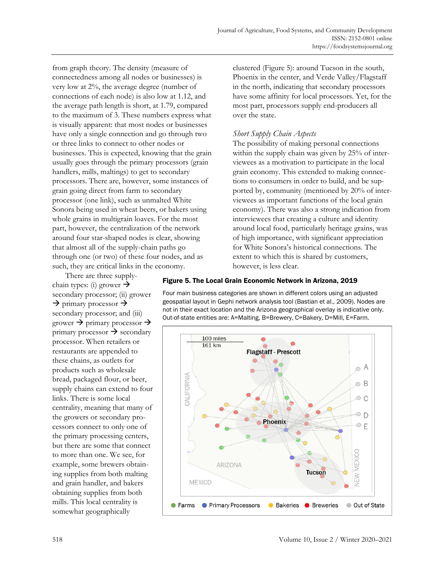from graph theory. The density (measure of connectedness among all nodes or businesses) is very low at 2%, the average degree (number of connections of each node) is also low at 1.12, and the average path length is short, at 1.79, compared to the maximum of 3. These numbers express what is visually apparent: that most nodes or businesses have only a single connection and go through two or three links to connect to other nodes or businesses. This is expected, knowing that the grain usually goes through the primary processors (grain handlers, mills, maltings) to get to secondary processors. There are, however, some instances of grain going direct from farm to secondary processor (one link), such as unmalted White Sonora being used in wheat beers, or bakers using whole grains in multigrain loaves. For the most part, however, the centralization of the network around four star-shaped nodes is clear, showing that almost all of the supply-chain paths go through one (or two) of these four nodes, and as such, they are critical links in the economy.

clustered (Figure 5): around Tucson in the south, Phoenix in the center, and Verde Valley/Flagstaff in the north, indicating that secondary processors have some affinity for local processors. Yet, for the most part, processors supply end-producers all over the state.

### *Short Supply Chain Aspects*

The possibility of making personal connections within the supply chain was given by 25% of interviewees as a motivation to participate in the local grain economy. This extended to making connections to consumers in order to build, and be supported by, community (mentioned by 20% of interviewees as important functions of the local grain economy). There was also a strong indication from interviewees that creating a culture and identity around local food, particularly heritage grains, was of high importance, with significant appreciation for White Sonora's historical connections. The extent to which this is shared by customers, however, is less clear.

There are three supplychain types: (i) grower  $\rightarrow$ secondary processor; (ii) grower  $\rightarrow$  primary processor  $\rightarrow$ secondary processor; and (iii) grower  $\rightarrow$  primary processor  $\rightarrow$ primary processor  $\rightarrow$  secondary processor. When retailers or restaurants are appended to these chains, as outlets for products such as wholesale bread, packaged flour, or beer, supply chains can extend to four links. There is some local centrality, meaning that many of the growers or secondary processors connect to only one of the primary processing centers, but there are some that connect to more than one. We see, for example, some brewers obtaining supplies from both malting and grain handler, and bakers obtaining supplies from both mills. This local centrality is somewhat geographically

### Figure 5. The Local Grain Economic Network in Arizona, 2019

Four main business categories are shown in different colors using an adjusted geospatial layout in Gephi network analysis tool (Bastian et al., 2009). Nodes are not in their exact location and the Arizona geographical overlay is indicative only. Out-of-state entities are: A=Malting, B=Brewery, C=Bakery, D=Mill, E=Farm.

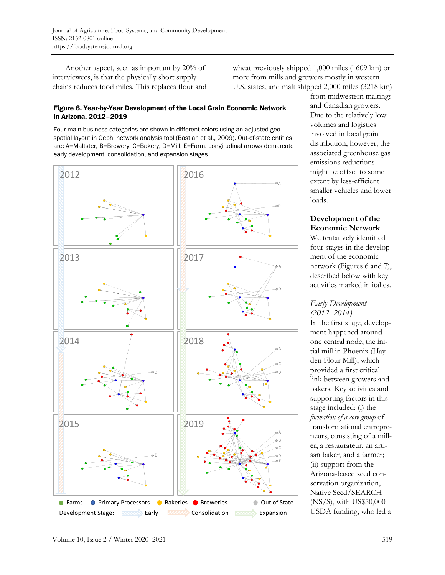Another aspect, seen as important by 20% of interviewees, is that the physically short supply chains reduces food miles. This replaces flour and wheat previously shipped 1,000 miles (1609 km) or more from mills and growers mostly in western U.S. states, and malt shipped 2,000 miles (3218 km)

### Figure 6. Year-by-Year Development of the Local Grain Economic Network in Arizona, 2012–2019

Four main business categories are shown in different colors using an adjusted geospatial layout in Gephi network analysis tool (Bastian et al., 2009). Out-of-state entities are: A=Maltster, B=Brewery, C=Bakery, D=Mill, E=Farm. Longitudinal arrows demarcate early development, consolidation, and expansion stages.



from midwestern maltings and Canadian growers. Due to the relatively low volumes and logistics involved in local grain distribution, however, the associated greenhouse gas emissions reductions might be offset to some extent by less-efficient smaller vehicles and lower loads.

## **Development of the Economic Network**

We tentatively identified four stages in the development of the economic network (Figures 6 and 7), described below with key activities marked in italics.

## *Early Development (2012–2014)*

In the first stage, development happened around one central node, the initial mill in Phoenix (Hayden Flour Mill), which provided a first critical link between growers and bakers. Key activities and supporting factors in this stage included: (i) the *formation of a core group* of transformational entrepreneurs, consisting of a miller, a restaurateur, an artisan baker, and a farmer; (ii) support from the Arizona-based seed conservation organization, Native Seed/SEARCH (NS/S), with US\$50,000 USDA funding, who led a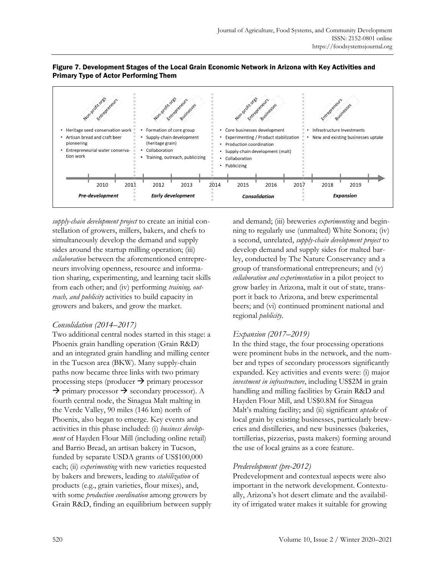

### Figure 7. Development Stages of the Local Grain Economic Network in Arizona with Key Activities and Primary Type of Actor Performing Them

*supply-chain development project* to create an initial constellation of growers, millers, bakers, and chefs to simultaneously develop the demand and supply sides around the startup milling operation; (iii) *collaboration* between the aforementioned entrepreneurs involving openness, resource and information sharing, experimenting, and learning tacit skills from each other; and (iv) performing *training, outreach, and publicity* activities to build capacity in growers and bakers, and grow the market.

## *Consolidation (2014–2017)*

Two additional central nodes started in this stage: a Phoenix grain handling operation (Grain R&D) and an integrated grain handling and milling center in the Tucson area (BKW). Many supply-chain paths now became three links with two primary processing steps (producer  $\rightarrow$  primary processor → primary processor → secondary processor). A fourth central node, the Sinagua Malt malting in the Verde Valley, 90 miles (146 km) north of Phoenix, also began to emerge. Key events and activities in this phase included: (i) *business development* of Hayden Flour Mill (including online retail) and Barrio Bread, an artisan bakery in Tucson, funded by separate USDA grants of US\$100,000 each; (ii) *experimenting* with new varieties requested by bakers and brewers, leading to *stabilization* of products (e.g., grain varieties, flour mixes), and, with some *production coordination* among growers by Grain R&D, finding an equilibrium between supply and demand; (iii) breweries *experimenting* and beginning to regularly use (unmalted) White Sonora; (iv) a second, unrelated, *supply-chain development project* to develop demand and supply sides for malted barley, conducted by The Nature Conservancy and a group of transformational entrepreneurs; and (v) *collaboration and experimentation* in a pilot project to grow barley in Arizona, malt it out of state, transport it back to Arizona, and brew experimental beers; and (vi) continued prominent national and regional *publicity*.

## *Expansion (2017–2019)*

In the third stage, the four processing operations were prominent hubs in the network, and the number and types of secondary processors significantly expanded. Key activities and events were: (i) major *investment in infrastructure*, including US\$2M in grain handling and milling facilities by Grain R&D and Hayden Flour Mill, and US\$0.8M for Sinagua Malt's malting facility; and (ii) significant *uptake* of local grain by existing businesses, particularly breweries and distilleries, and new businesses (bakeries, tortillerias, pizzerias, pasta makers) forming around the use of local grains as a core feature.

## *Predevelopment (pre-2012)*

Predevelopment and contextual aspects were also important in the network development. Contextually, Arizona's hot desert climate and the availability of irrigated water makes it suitable for growing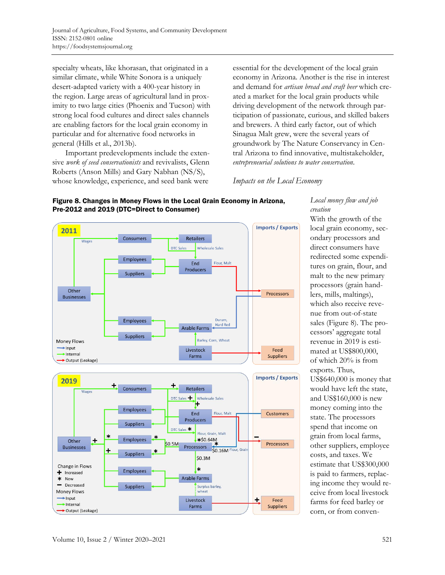specialty wheats, like khorasan, that originated in a similar climate, while White Sonora is a uniquely desert-adapted variety with a 400-year history in the region. Large areas of agricultural land in proximity to two large cities (Phoenix and Tucson) with strong local food cultures and direct sales channels are enabling factors for the local grain economy in particular and for alternative food networks in general (Hills et al., 2013b).

Important predevelopments include the extensive *work of seed conservationists* and revivalists, Glenn Roberts (Anson Mills) and Gary Nabhan (NS/S), whose knowledge, experience, and seed bank were

essential for the development of the local grain economy in Arizona. Another is the rise in interest and demand for *artisan bread and craft beer* which created a market for the local grain products while driving development of the network through participation of passionate, curious, and skilled bakers and brewers. A third early factor, out of which Sinagua Malt grew, were the several years of groundwork by The Nature Conservancy in Central Arizona to find innovative, multistakeholder, *entrepreneurial solutions to water conservation*.

### *Impacts on the Local Economy*



## Figure 8. Changes in Money Flows in the Local Grain Economy in Arizona, Pre-2012 and 2019 (DTC=Direct to Consumer)

*Local money flow and job creation*

With the growth of the local grain economy, secondary processors and direct consumers have redirected some expenditures on grain, flour, and malt to the new primary processors (grain handlers, mills, maltings), which also receive revenue from out-of-state sales (Figure 8). The processors' aggregate total revenue in 2019 is estimated at US\$800,000, of which 20% is from exports. Thus, US\$640,000 is money that would have left the state, and US\$160,000 is new money coming into the state. The processors spend that income on grain from local farms, other suppliers, employee costs, and taxes. We estimate that US\$300,000 is paid to farmers, replacing income they would receive from local livestock farms for feed barley or corn, or from conven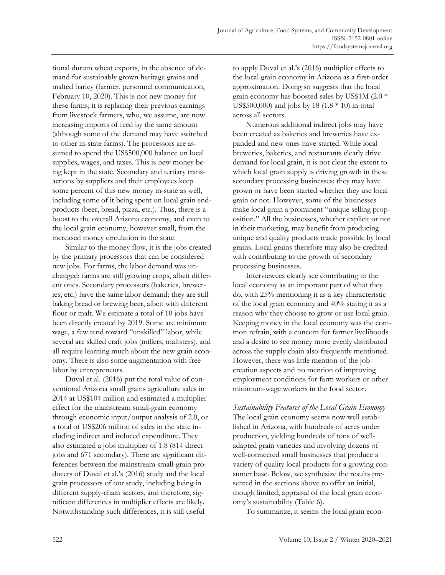tional durum wheat exports, in the absence of demand for sustainably grown heritage grains and malted barley (farmer, personnel communication, February 10, 2020). This is not new money for these farms; it is replacing their previous earnings from livestock farmers, who, we assume, are now increasing imports of feed by the same amount (although some of the demand may have switched to other in-state farms). The processors are assumed to spend the US\$500,000 balance on local supplies, wages, and taxes. This is new money being kept in the state. Secondary and tertiary transactions by suppliers and their employees keep some percent of this new money in-state as well, including some of it being spent on local grain endproducts (beer, bread, pizza, etc.). Thus, there is a boost to the overall Arizona economy, and even to the local grain economy, however small, from the increased money circulation in the state.

Similar to the money flow, it is the jobs created by the primary processors that can be considered new jobs. For farms, the labor demand was unchanged: farms are still growing crops, albeit different ones. Secondary processors (bakeries, breweries, etc.) have the same labor demand: they are still baking bread or brewing beer, albeit with different flour or malt. We estimate a total of 10 jobs have been directly created by 2019. Some are minimum wage, a few tend toward "unskilled" labor, while several are skilled craft jobs (millers, maltsters), and all require learning much about the new grain economy. There is also some augmentation with free labor by entrepreneurs.

Duval et al. (2016) put the total value of conventional Arizona small grains agriculture sales in 2014 at US\$104 million and estimated a multiplier effect for the mainstream small-grain economy through economic input/output analysis of 2.0, or a total of US\$206 million of sales in the state including indirect and induced expenditure. They also estimated a jobs multiplier of 1.8 (814 direct jobs and 671 secondary). There are significant differences between the mainstream small-grain producers of Duval et al.'s (2016) study and the local grain processors of our study, including being in different supply-chain sectors, and therefore, significant differences in multiplier effects are likely. Notwithstanding such differences, it is still useful

to apply Duval et al.'s (2016) multiplier effects to the local grain economy in Arizona as a first-order approximation. Doing so suggests that the local grain economy has boosted sales by US\$1M (2.0 \* US\$500,000) and jobs by 18 (1.8  $*$  10) in total across all sectors.

Numerous additional indirect jobs may have been created as bakeries and breweries have expanded and new ones have started. While local breweries, bakeries, and restaurants clearly drive demand for local grain, it is not clear the extent to which local grain supply is driving growth in these secondary processing businesses: they may have grown or have been started whether they use local grain or not. However, some of the businesses make local grain a prominent "unique selling proposition." All the businesses, whether explicit or not in their marketing, may benefit from producing unique and quality products made possible by local grains. Local grains therefore may also be credited with contributing to the growth of secondary processing businesses.

Interviewees clearly see contributing to the local economy as an important part of what they do, with 25% mentioning it as a key characteristic of the local grain economy and 40% stating it as a reason why they choose to grow or use local grain. Keeping money in the local economy was the common refrain, with a concern for farmer livelihoods and a desire to see money more evenly distributed across the supply chain also frequently mentioned. However, there was little mention of the jobcreation aspects and no mention of improving employment conditions for farm workers or other minimum-wage workers in the food sector.

*Sustainability Features of the Local Grain Economy* The local grain economy seems now well established in Arizona, with hundreds of acres under production, yielding hundreds of tons of welladapted grain varieties and involving dozens of well-connected small businesses that produce a variety of quality local products for a growing consumer base. Below, we synthesize the results presented in the sections above to offer an initial, though limited, appraisal of the local grain economy's sustainability (Table 6).

To summarize, it seems the local grain econ-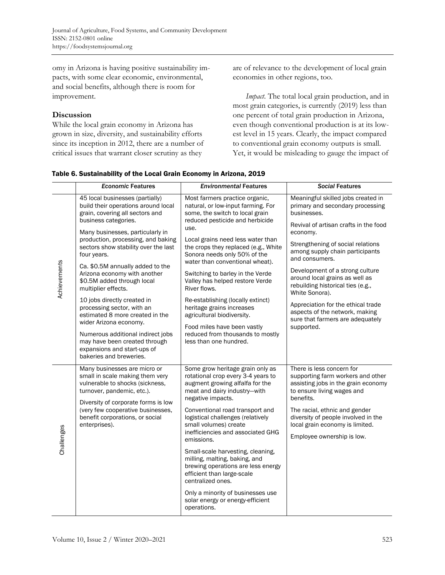omy in Arizona is having positive sustainability impacts, with some clear economic, environmental, and social benefits, although there is room for improvement.

### **Discussion**

While the local grain economy in Arizona has grown in size, diversity, and sustainability efforts since its inception in 2012, there are a number of critical issues that warrant closer scrutiny as they

are of relevance to the development of local grain economies in other regions, too.

*Impact*. The total local grain production, and in most grain categories, is currently (2019) less than one percent of total grain production in Arizona, even though conventional production is at its lowest level in 15 years. Clearly, the impact compared to conventional grain economy outputs is small. Yet, it would be misleading to gauge the impact of

| Table 6. Sustainability of the Local Grain Economy in Arizona, 2019 |  |  |
|---------------------------------------------------------------------|--|--|
|                                                                     |  |  |

|              | <b>Economic Features</b>                                                                                                          | <b>Environmental Features</b>                                                                                                                                  | <b>Social Features</b>                                                                                                                           |  |
|--------------|-----------------------------------------------------------------------------------------------------------------------------------|----------------------------------------------------------------------------------------------------------------------------------------------------------------|--------------------------------------------------------------------------------------------------------------------------------------------------|--|
| Achievements | 45 local businesses (partially)<br>build their operations around local<br>grain, covering all sectors and<br>business categories. | Most farmers practice organic,<br>natural, or low-input farming. For<br>some, the switch to local grain<br>reduced pesticide and herbicide<br>use.             | Meaningful skilled jobs created in<br>primary and secondary processing<br>businesses.<br>Revival of artisan crafts in the food                   |  |
|              | Many businesses, particularly in<br>production, processing, and baking<br>sectors show stability over the last<br>four years.     | Local grains need less water than<br>the crops they replaced (e.g., White<br>Sonora needs only 50% of the<br>water than conventional wheat).                   | economy.<br>Strengthening of social relations<br>among supply chain participants<br>and consumers.                                               |  |
|              | Ca. \$0.5M annually added to the<br>Arizona economy with another<br>\$0.5M added through local<br>multiplier effects.             | Switching to barley in the Verde<br>Valley has helped restore Verde<br>River flows.                                                                            | Development of a strong culture<br>around local grains as well as<br>rebuilding historical ties (e.g.,<br>White Sonora).                         |  |
|              | 10 jobs directly created in<br>processing sector, with an<br>estimated 8 more created in the<br>wider Arizona economy.            | Re-establishing (locally extinct)<br>heritage grains increases<br>agricultural biodiversity.<br>Food miles have been vastly                                    | Appreciation for the ethical trade<br>aspects of the network, making<br>sure that farmers are adequately<br>supported.                           |  |
|              | Numerous additional indirect jobs<br>may have been created through<br>expansions and start-ups of<br>bakeries and breweries.      | reduced from thousands to mostly<br>less than one hundred.                                                                                                     |                                                                                                                                                  |  |
| Challenges   | Many businesses are micro or<br>small in scale making them very<br>vulnerable to shocks (sickness,<br>turnover, pandemic, etc.).  | Some grow heritage grain only as<br>rotational crop every 3-4 years to<br>augment growing alfalfa for the<br>meat and dairy industry-with<br>negative impacts. | There is less concern for<br>supporting farm workers and other<br>assisting jobs in the grain economy<br>to ensure living wages and<br>benefits. |  |
|              | Diversity of corporate forms is low<br>(very few cooperative businesses,<br>benefit corporations, or social<br>enterprises).      | Conventional road transport and<br>logistical challenges (relatively<br>small volumes) create<br>inefficiencies and associated GHG<br>emissions.               | The racial, ethnic and gender<br>diversity of people involved in the<br>local grain economy is limited.<br>Employee ownership is low.            |  |
|              |                                                                                                                                   | Small-scale harvesting, cleaning,<br>milling, malting, baking, and<br>brewing operations are less energy<br>efficient than large-scale<br>centralized ones.    |                                                                                                                                                  |  |
|              |                                                                                                                                   | Only a minority of businesses use<br>solar energy or energy-efficient<br>operations.                                                                           |                                                                                                                                                  |  |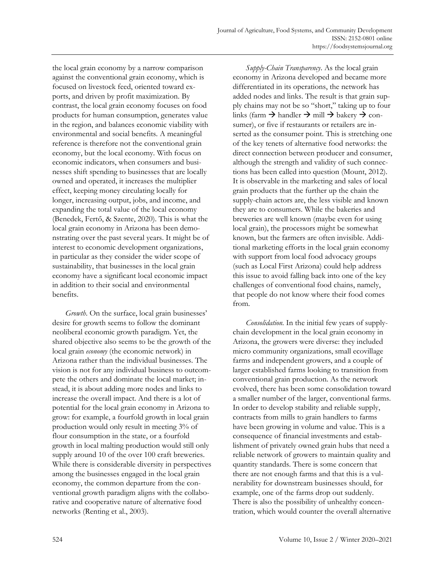the local grain economy by a narrow comparison against the conventional grain economy, which is focused on livestock feed, oriented toward exports, and driven by profit maximization. By contrast, the local grain economy focuses on food products for human consumption, generates value in the region, and balances economic viability with environmental and social benefits. A meaningful reference is therefore not the conventional grain economy, but the local economy. With focus on economic indicators, when consumers and businesses shift spending to businesses that are locally owned and operated, it increases the multiplier effect, keeping money circulating locally for longer, increasing output, jobs, and income, and expanding the total value of the local economy (Benedek, Fertő, & Szente, 2020). This is what the local grain economy in Arizona has been demonstrating over the past several years. It might be of interest to economic development organizations, in particular as they consider the wider scope of sustainability, that businesses in the local grain economy have a significant local economic impact in addition to their social and environmental benefits.

*Growth*. On the surface, local grain businesses' desire for growth seems to follow the dominant neoliberal economic growth paradigm. Yet, the shared objective also seems to be the growth of the local grain *economy* (the economic network) in Arizona rather than the individual businesses. The vision is not for any individual business to outcompete the others and dominate the local market; instead, it is about adding more nodes and links to increase the overall impact. And there is a lot of potential for the local grain economy in Arizona to grow: for example, a fourfold growth in local grain production would only result in meeting 3% of flour consumption in the state, or a fourfold growth in local malting production would still only supply around 10 of the over 100 craft breweries. While there is considerable diversity in perspectives among the businesses engaged in the local grain economy, the common departure from the conventional growth paradigm aligns with the collaborative and cooperative nature of alternative food networks (Renting et al., 2003).

*Supply-Chain Transparency*. As the local grain economy in Arizona developed and became more differentiated in its operations, the network has added nodes and links. The result is that grain supply chains may not be so "short," taking up to four links (farm  $\rightarrow$  handler  $\rightarrow$  mill  $\rightarrow$  bakery  $\rightarrow$  consumer), or five if restaurants or retailers are inserted as the consumer point. This is stretching one of the key tenets of alternative food networks: the direct connection between producer and consumer, although the strength and validity of such connections has been called into question (Mount, 2012). It is observable in the marketing and sales of local grain products that the further up the chain the supply-chain actors are, the less visible and known they are to consumers. While the bakeries and breweries are well known (maybe even for using local grain), the processors might be somewhat known, but the farmers are often invisible. Additional marketing efforts in the local grain economy with support from local food advocacy groups (such as Local First Arizona) could help address this issue to avoid falling back into one of the key challenges of conventional food chains, namely, that people do not know where their food comes from.

*Consolidation.* In the initial few years of supplychain development in the local grain economy in Arizona, the growers were diverse: they included micro community organizations, small ecovillage farms and independent growers, and a couple of larger established farms looking to transition from conventional grain production. As the network evolved, there has been some consolidation toward a smaller number of the larger, conventional farms. In order to develop stability and reliable supply, contracts from mills to grain handlers to farms have been growing in volume and value. This is a consequence of financial investments and establishment of privately owned grain hubs that need a reliable network of growers to maintain quality and quantity standards. There is some concern that there are not enough farms and that this is a vulnerability for downstream businesses should, for example, one of the farms drop out suddenly. There is also the possibility of unhealthy concentration, which would counter the overall alternative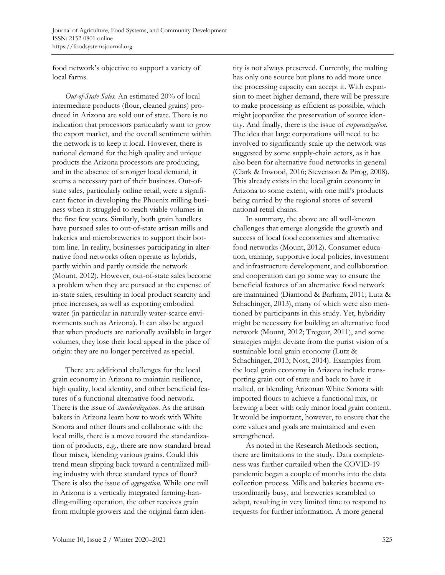food network's objective to support a variety of local farms.

*Out-of-State Sales.* An estimated 20% of local intermediate products (flour, cleaned grains) produced in Arizona are sold out of state. There is no indication that processors particularly want to grow the export market, and the overall sentiment within the network is to keep it local. However, there is national demand for the high quality and unique products the Arizona processors are producing, and in the absence of stronger local demand, it seems a necessary part of their business. Out-ofstate sales, particularly online retail, were a significant factor in developing the Phoenix milling business when it struggled to reach viable volumes in the first few years. Similarly, both grain handlers have pursued sales to out-of-state artisan mills and bakeries and microbreweries to support their bottom line. In reality, businesses participating in alternative food networks often operate as hybrids, partly within and partly outside the network (Mount, 2012). However, out-of-state sales become a problem when they are pursued at the expense of in-state sales, resulting in local product scarcity and price increases, as well as exporting embodied water (in particular in naturally water-scarce environments such as Arizona). It can also be argued that when products are nationally available in larger volumes, they lose their local appeal in the place of origin: they are no longer perceived as special.

There are additional challenges for the local grain economy in Arizona to maintain resilience, high quality, local identity, and other beneficial features of a functional alternative food network. There is the issue of *standardization*. As the artisan bakers in Arizona learn how to work with White Sonora and other flours and collaborate with the local mills, there is a move toward the standardization of products, e.g., there are now standard bread flour mixes, blending various grains. Could this trend mean slipping back toward a centralized milling industry with three standard types of flour? There is also the issue of *aggregation*. While one mill in Arizona is a vertically integrated farming-handling-milling operation, the other receives grain from multiple growers and the original farm iden-

tity is not always preserved. Currently, the malting has only one source but plans to add more once the processing capacity can accept it. With expansion to meet higher demand, there will be pressure to make processing as efficient as possible, which might jeopardize the preservation of source identity. And finally, there is the issue of *corporatization*. The idea that large corporations will need to be involved to significantly scale up the network was suggested by some supply-chain actors, as it has also been for alternative food networks in general (Clark & Inwood, 2016; Stevenson & Pirog, 2008). This already exists in the local grain economy in Arizona to some extent, with one mill's products being carried by the regional stores of several national retail chains.

In summary, the above are all well-known challenges that emerge alongside the growth and success of local food economies and alternative food networks (Mount, 2012). Consumer education, training, supportive local policies, investment and infrastructure development, and collaboration and cooperation can go some way to ensure the beneficial features of an alternative food network are maintained (Diamond & Barham, 2011; Lutz & Schachinger, 2013), many of which were also mentioned by participants in this study. Yet, hybridity might be necessary for building an alternative food network (Mount, 2012; Tregear, 2011), and some strategies might deviate from the purist vision of a sustainable local grain economy (Lutz & Schachinger, 2013; Nost, 2014). Examples from the local grain economy in Arizona include transporting grain out of state and back to have it malted, or blending Arizonan White Sonora with imported flours to achieve a functional mix, or brewing a beer with only minor local grain content. It would be important, however, to ensure that the core values and goals are maintained and even strengthened.

As noted in the Research Methods section, there are limitations to the study. Data completeness was further curtailed when the COVID-19 pandemic began a couple of months into the data collection process. Mills and bakeries became extraordinarily busy, and breweries scrambled to adapt, resulting in very limited time to respond to requests for further information. A more general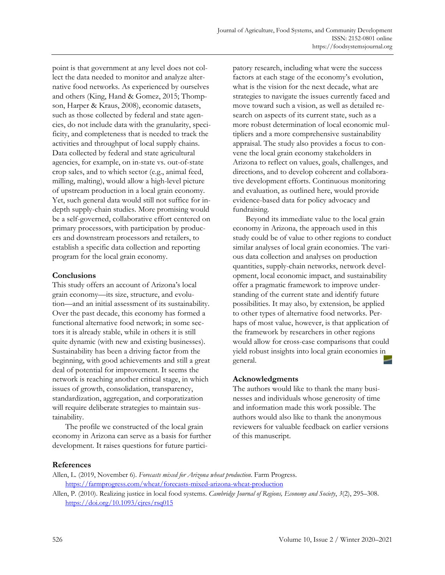point is that government at any level does not collect the data needed to monitor and analyze alternative food networks. As experienced by ourselves and others (King, Hand & Gomez, 2015; Thompson, Harper & Kraus, 2008), economic datasets, such as those collected by federal and state agencies, do not include data with the granularity, specificity, and completeness that is needed to track the activities and throughput of local supply chains. Data collected by federal and state agricultural agencies, for example, on in-state vs. out-of-state crop sales, and to which sector (e.g., animal feed, milling, malting), would allow a high-level picture of upstream production in a local grain economy. Yet, such general data would still not suffice for indepth supply-chain studies. More promising would be a self-governed, collaborative effort centered on primary processors, with participation by producers and downstream processors and retailers, to establish a specific data collection and reporting program for the local grain economy.

## **Conclusions**

This study offers an account of Arizona's local grain economy—its size, structure, and evolution—and an initial assessment of its sustainability. Over the past decade, this economy has formed a functional alternative food network; in some sectors it is already stable, while in others it is still quite dynamic (with new and existing businesses). Sustainability has been a driving factor from the beginning, with good achievements and still a great deal of potential for improvement. It seems the network is reaching another critical stage, in which issues of growth, consolidation, transparency, standardization, aggregation, and corporatization will require deliberate strategies to maintain sustainability.

The profile we constructed of the local grain economy in Arizona can serve as a basis for further development. It raises questions for future participatory research, including what were the success factors at each stage of the economy's evolution, what is the vision for the next decade, what are strategies to navigate the issues currently faced and move toward such a vision, as well as detailed research on aspects of its current state, such as a more robust determination of local economic multipliers and a more comprehensive sustainability appraisal. The study also provides a focus to convene the local grain economy stakeholders in Arizona to reflect on values, goals, challenges, and directions, and to develop coherent and collaborative development efforts. Continuous monitoring and evaluation, as outlined here, would provide evidence-based data for policy advocacy and fundraising.

Beyond its immediate value to the local grain economy in Arizona, the approach used in this study could be of value to other regions to conduct similar analyses of local grain economies. The various data collection and analyses on production quantities, supply-chain networks, network development, local economic impact, and sustainability offer a pragmatic framework to improve understanding of the current state and identify future possibilities. It may also, by extension, be applied to other types of alternative food networks. Perhaps of most value, however, is that application of the framework by researchers in other regions would allow for cross-case comparisons that could yield robust insights into local grain economies in general.

## **Acknowledgments**

The authors would like to thank the many businesses and individuals whose generosity of time and information made this work possible. The authors would also like to thank the anonymous reviewers for valuable feedback on earlier versions of this manuscript.

### **References**

Allen, L. (2019, November 6). *Forecasts mixed for Arizona wheat production*. Farm Progress. https://farmprogress.com/wheat/forecasts-mixed-arizona-wheat-production

Allen, P. (2010). Realizing justice in local food systems. *Cambridge Journal of Regions, Economy and Society*, *3*(2), 295–308. https://doi.org/10.1093/cjres/rsq015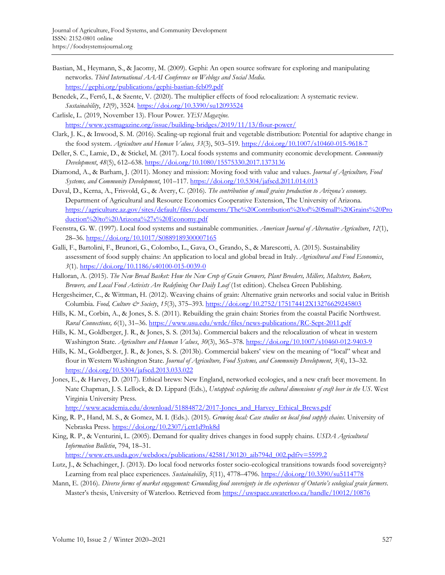- Bastian, M., Heymann, S., & Jacomy, M. (2009). Gephi: An open source software for exploring and manipulating networks. *Third International AAAI Conference on Weblogs and Social Media*. https://gephi.org/publications/gephi-bastian-feb09.pdf
- Benedek, Z., Fertő, I., & Szente, V. (2020). The multiplier effects of food relocalization: A systematic review. *Sustainability*, *12*(9), 3524. https://doi.org/10.3390/su12093524
- Carlisle, L. (2019, November 13). Flour Power. *YES! Magazine.* https://www.yesmagazine.org/issue/building-bridges/2019/11/13/flour-power/
- Clark, J. K., & Inwood, S. M. (2016). Scaling-up regional fruit and vegetable distribution: Potential for adaptive change in the food system. *Agriculture and Human Values, 33*(3), 503–519. https://doi.org/10.1007/s10460-015-9618-7
- Deller, S. C., Lamie, D., & Stickel, M. (2017). Local foods systems and community economic development. *Community Development*, *48*(5), 612–638. https://doi.org/10.1080/15575330.2017.1373136
- Diamond, A., & Barham, J. (2011). Money and mission: Moving food with value and values. *Journal of Agriculture, Food Systems, and Community Development*, 101–117. https://doi.org/10.5304/jafscd.2011.014.013
- Duval, D., Kerna, A., Frisvold, G., & Avery, C. (2016). *The contribution of small grains production to Arizona's economy.* Department of Agricultural and Resource Economics Cooperative Extension, The University of Arizona. [https://agriculture.az.gov/sites/default/files/documents/The%20Contribution%20of%20Small%20Grains%20Pro](https://agriculture.az.gov/sites/default/files/documents/The%20Contribution%20of%20Small%20Grains%20Production%20to%20Arizona%27s%20Economy.pdf) duction%20to%20Arizona%27s%20Economy.pdf
- Feenstra, G. W. (1997). Local food systems and sustainable communities. *American Journal of Alternative Agriculture*, *12*(1), 28–36. https://doi.org/10.1017/S0889189300007165
- Galli, F., Bartolini, F., Brunori, G., Colombo, L., Gava, O., Grando, S., & Marescotti, A. (2015). Sustainability assessment of food supply chains: An application to local and global bread in Italy. *Agricultural and Food Economics*, *3*(1). https://doi.org/10.1186/s40100-015-0039-0
- Halloran, A. (2015). *The New Bread Basket: How the New Crop of Grain Growers, Plant Breeders, Millers, Maltsters, Bakers, Brewers, and Local Food Activists Are Redefining Our Daily Loaf* (1st edition). Chelsea Green Publishing.
- Hergesheimer, C., & Wittman, H. (2012). Weaving chains of grain: Alternative grain networks and social value in British Columbia. *Food, Culture & Society*, *15*(3), 375–393. https://doi.org/10.2752/175174412X13276629245803
- Hills, K. M., Corbin, A., & Jones, S. S. (2011). Rebuilding the grain chain: Stories from the coastal Pacific Northwest. *Rural Connections, 6*(1), 31–36. https://www.usu.edu/wrdc/files/news-publications/RC-Sept-2011.pdf
- Hills, K. M., Goldberger, J. R., & Jones, S. S. (2013a). Commercial bakers and the relocalization of wheat in western Washington State. *Agriculture and Human Values*, *30*(3), 365–378. https://doi.org/10.1007/s10460-012-9403-9
- Hills, K. M., Goldberger, J. R., & Jones, S. S. (2013b). Commercial bakers' view on the meaning of "local" wheat and flour in Western Washington State. *Journal of Agriculture, Food Systems, and Community Development*, *3*(4), 13–32. https://doi.org/10.5304/jafscd.2013.033.022
- Jones, E., & Harvey, D. (2017). Ethical brews: New England, networked ecologies, and a new craft beer movement. In Nate Chapman, J. S. Lellock, & D. Lippard (Eds.), *Untapped: exploring the cultural dimensions of craft beer in the US*. West Virginia University Press.

http://www.academia.edu/download/51884872/2017-Jones\_and\_Harvey\_Ethical\_Brews.pdf

- King, R. P., Hand, M. S., & Gomez, M. I. (Eds.). (2015). *Growing local: Case studies on local food supply chains*. University of Nebraska Press. https://doi.org/10.2307/j.ctt1d9nk8d
- King, R. P., & Venturini, L. (2005). Demand for quality drives changes in food supply chains. *USDA Agricultural Information Bulletin*, 794, 18–31.

https://www.ers.usda.gov/webdocs/publications/42581/30120\_aib794d\_002.pdf?v=5599.2

- Lutz, J., & Schachinger, J. (2013). Do local food networks foster socio-ecological transitions towards food sovereignty? Learning from real place experiences. *Sustainability*, *5*(11), 4778–4796. https://doi.org/10.3390/su5114778
- Mann, E. (2016). *Diverse forms of market engagement: Grounding food sovereignty in the experiences of Ontario's ecological grain farmers*. Master's thesis, University of Waterloo. Retrieved from https://uwspace.uwaterloo.ca/handle/10012/10876